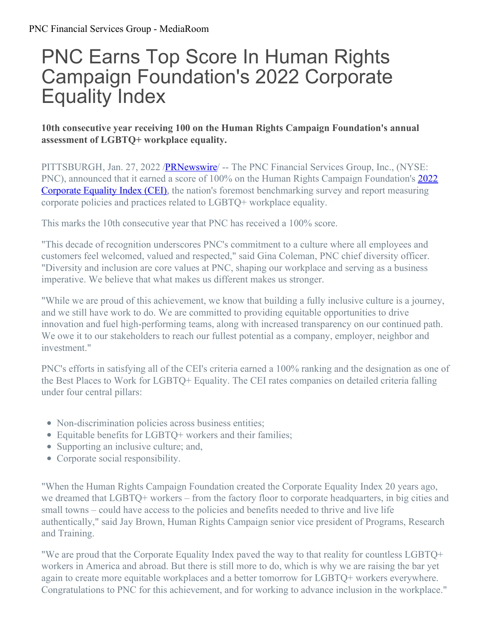## PNC Earns Top Score In Human Rights Campaign Foundation's 2022 Corporate Equality Index

## **10th consecutive year receiving 100 on the Human Rights Campaign Foundation's annual assessment of LGBTQ+ workplace equality.**

PITTSBURGH, Jan. 27, 2022 **[/PRNewswire](http://www.prnewswire.com/)/** -- The PNC Financial Services Group, Inc., (NYSE: PNC), announced that it earned a score of 100% on the Human Rights Campaign Foundation's 2022 Corporate Equality Index (CEI), the nation's foremost [benchmarking](https://c212.net/c/link/?t=0&l=en&o=3426156-1&h=3177606680&u=http%3A%2F%2Fhrc.org%2Fcei&a=2022+Corporate+Equality+Index+(CEI)) survey and report measuring corporate policies and practices related to LGBTQ+ workplace equality.

This marks the 10th consecutive year that PNC has received a 100% score.

"This decade of recognition underscores PNC's commitment to a culture where all employees and customers feel welcomed, valued and respected," said Gina Coleman, PNC chief diversity officer. "Diversity and inclusion are core values at PNC, shaping our workplace and serving as a business imperative. We believe that what makes us different makes us stronger.

"While we are proud of this achievement, we know that building a fully inclusive culture is a journey, and we still have work to do. We are committed to providing equitable opportunities to drive innovation and fuel high-performing teams, along with increased transparency on our continued path. We owe it to our stakeholders to reach our fullest potential as a company, employer, neighbor and investment."

PNC's efforts in satisfying all of the CEI's criteria earned a 100% ranking and the designation as one of the Best Places to Work for LGBTQ+ Equality. The CEI rates companies on detailed criteria falling under four central pillars:

- Non-discrimination policies across business entities;
- Equitable benefits for LGBTQ+ workers and their families;
- Supporting an inclusive culture; and,
- Corporate social responsibility.

"When the Human Rights Campaign Foundation created the Corporate Equality Index 20 years ago, we dreamed that LGBTQ+ workers – from the factory floor to corporate headquarters, in big cities and small towns – could have access to the policies and benefits needed to thrive and live life authentically," said Jay Brown, Human Rights Campaign senior vice president of Programs, Research and Training.

"We are proud that the Corporate Equality Index paved the way to that reality for countless LGBTQ+ workers in America and abroad. But there is still more to do, which is why we are raising the bar yet again to create more equitable workplaces and a better tomorrow for LGBTQ+ workers everywhere. Congratulations to PNC for this achievement, and for working to advance inclusion in the workplace."